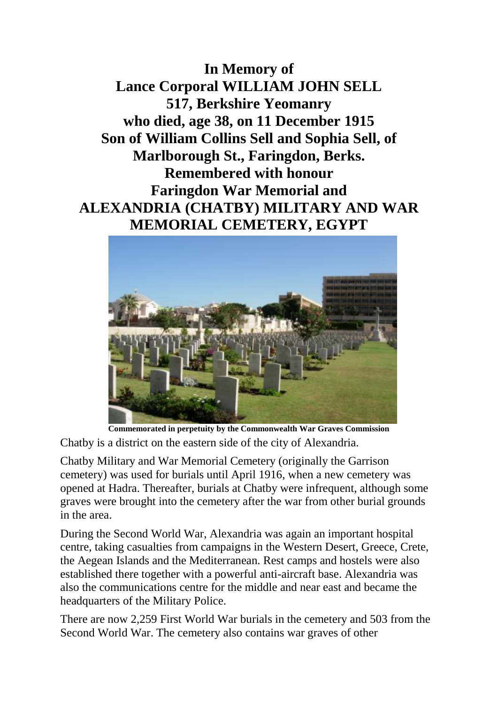**In Memory of Lance Corporal WILLIAM JOHN SELL 517, Berkshire Yeomanry who died, age 38, on 11 December 1915 Son of William Collins Sell and Sophia Sell, of Marlborough St., Faringdon, Berks. Remembered with honour Faringdon War Memorial and ALEXANDRIA (CHATBY) MILITARY AND WAR MEMORIAL CEMETERY, EGYPT**



**Commemorated in perpetuity by the Commonwealth War Graves Commission**  Chatby is a district on the eastern side of the city of Alexandria.

Chatby Military and War Memorial Cemetery (originally the Garrison cemetery) was used for burials until April 1916, when a new cemetery was opened at Hadra. Thereafter, burials at Chatby were infrequent, although some graves were brought into the cemetery after the war from other burial grounds in the area.

During the Second World War, Alexandria was again an important hospital centre, taking casualties from campaigns in the Western Desert, Greece, Crete, the Aegean Islands and the Mediterranean. Rest camps and hostels were also established there together with a powerful anti-aircraft base. Alexandria was also the communications centre for the middle and near east and became the headquarters of the Military Police.

There are now 2,259 First World War burials in the cemetery and 503 from the Second World War. The cemetery also contains war graves of other